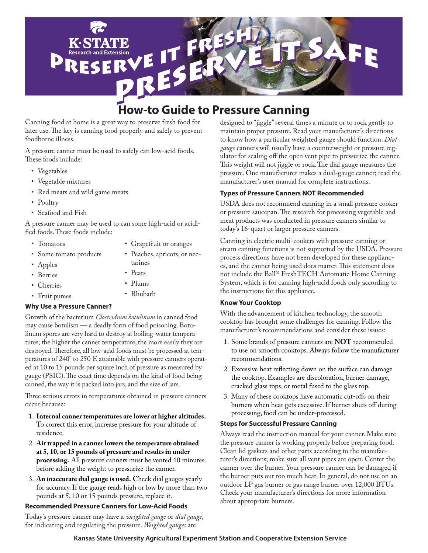

# **How-to Guide to Pressure Canning**

Canning food at home is a great way to preserve fresh food for later use. The key is canning food properly and safely to prevent foodborne illness.

A pressure canner must be used to safely can low-acid foods. These foods include:

- • Vegetables
- • Vegetable mixtures
- • Red meats and wild game meats
- Poultry
- • Seafood and Fish

A pressure canner may be used to can some high-acid or acidified foods. These foods include:

• Tomatoes

• Berries

- • Grapefruit or oranges
- • Some tomato products
- Peaches, apricots, or nec-
- Apples
	- tarines Pears
	- • Plums
- • Cherries • Fruit purees • Rhubarb

### **Why Use a Pressure Canner?**

Growth of the bacterium *Clostridium botulinum* in canned food may cause botulism — a deadly form of food poisoning. Botulinum spores are very hard to destroy at boiling-water temperatures; the higher the canner temperature, the more easily they are destroyed. Therefore, all low-acid foods must be processed at temperatures of 240° to 250°F, attainable with pressure canners operated at 10 to 15 pounds per square inch of pressure as measured by gauge (PSIG). The exact time depends on the kind of food being canned, the way it is packed into jars, and the size of jars.

Three serious errors in temperatures obtained in pressure canners occur because:

- 1. **Internal canner temperatures are lower at higher altitudes.**  To correct this error, increase pressure for your altitude of residence.
- 2. **Air trapped in a canner lowers the temperature obtained at 5, 10, or 15 pounds of pressure and results in under processing.** All pressure canners must be vented 10 minutes before adding the weight to pressurize the canner.
- 3. **An inaccurate dial gauge is used.** Check dial gauges yearly for accuracy. If the gauge reads high or low by more than two pounds at 5, 10 or 15 pounds pressure, replace it.

### **Recommended Pressure Canners for Low-Acid Foods**

Today's pressure canner may have a *weighted gauge* or *dial gauge*, for indicating and regulating the pressure. *Weighted gauges* are

designed to "jiggle" several times a minute or to rock gently to maintain proper pressure. Read your manufacturer's directions to know how a particular weighted gauge should function. *Dial gauge* canners will usually have a counterweight or pressure regulator for sealing off the open vent pipe to pressurize the canner. This weight will not jiggle or rock. The dial gauge measures the pressure. One manufacturer makes a dual-gauge canner; read the manufacturer's user manual for complete instructions.

### **Types of Pressure Canners NOT Recommended**

USDA does not recommend canning in a small pressure cooker or pressure saucepan. The research for processing vegetable and meat products was conducted in pressure canners similar to today's 16-quart or larger pressure canners.

Canning in electric multi-cookers with pressure canning or steam canning functions is not supported by the USDA. Pressure process directions have not been developed for these appliances, and the canner being used does matter. This statement does not include the Ball® FreshTECH Automatic Home Canning System, which is for canning high-acid foods only according to the instructions for this appliance.

### **Know Your Cooktop**

With the advancement of kitchen technology, the smooth cooktop has brought some challenges for canning. Follow the manufacturer's recommendations and consider these issues:

- 1. Some brands of pressure canners are **NOT** recommended to use on smooth cooktops. Always follow the manufacturer recommendations.
- 2. Excessive heat reflecting down on the surface can damage the cooktop. Examples are discoloration, burner damage, cracked glass tops, or metal fused to the glass top.
- 3. Many of these cooktops have automatic cut-offs on their burners when heat gets excessive. If burner shuts off during processing, food can be under-processed.

### **Steps for Successful Pressure Canning**

Always read the instruction manual for your canner. Make sure the pressure canner is working properly before preparing food. Clean lid gaskets and other parts according to the manufacturer's directions; make sure all vent pipes are open. Center the canner over the burner. Your pressure canner can be damaged if the burner puts out too much heat. In general, do not use on an outdoor LP gas burner or gas range burner over 12,000 BTUs. Check your manufacturer's directions for more information about appropriate burners.

### **Kansas State University Agricultural Experiment Station and Cooperative Extension Service**